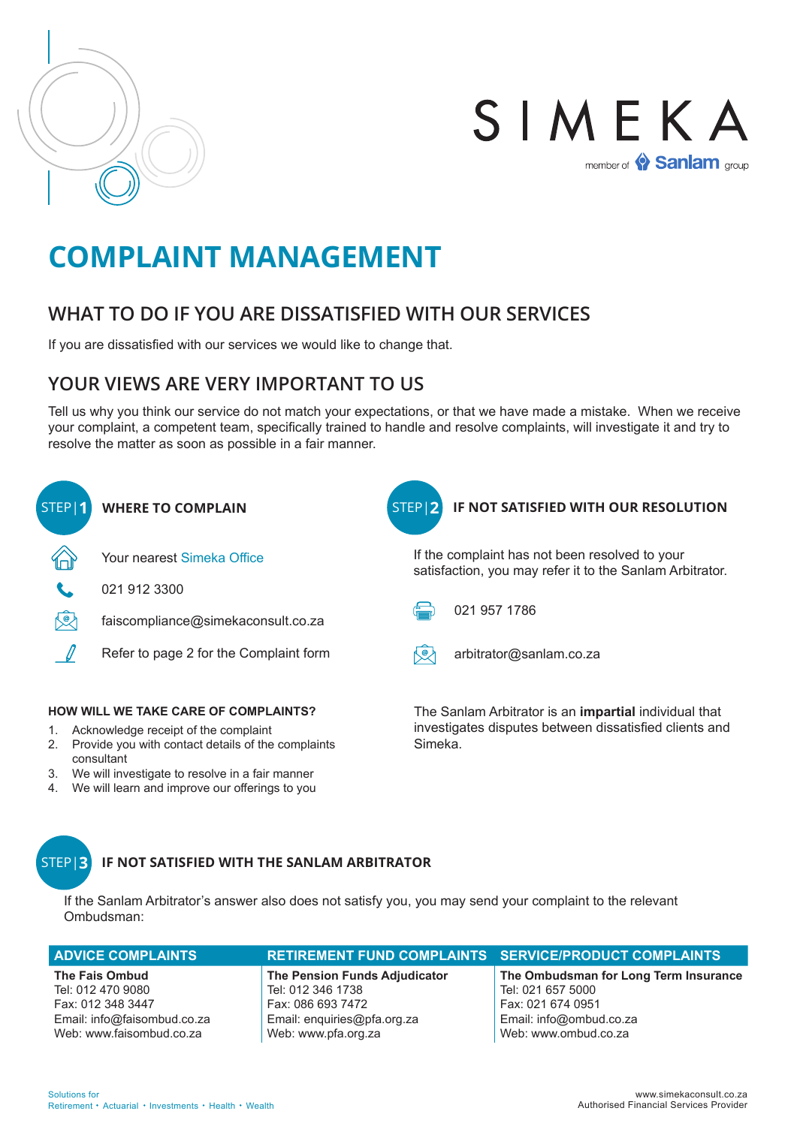



# **COMPLAINT MANAGEMENT**

## **WHAT TO DO IF YOU ARE DISSATISFIED WITH OUR SERVICES**

If you are dissatisfied with our services we would like to change that.

## **YOUR VIEWS ARE VERY IMPORTANT TO US**

Tell us why you think our service do not match your expectations, or that we have made a mistake. When we receive your complaint, a competent team, specifically trained to handle and resolve complaints, will investigate it and try to resolve the matter as soon as possible in a fair manner.



#### **IF NOT SATISFIED WITH THE SANLAM ARBITRATOR** STEP|**3**

If the Sanlam Arbitrator's answer also does not satisfy you, you may send your complaint to the relevant Ombudsman:

| <b>ADVICE COMPLAINTS</b> | RETIREMENT FUND COMPLAINTS SERVICE/PRODUCT COMPLAINTS |                                       |
|--------------------------|-------------------------------------------------------|---------------------------------------|
| The Fais Ombud           | The Pension Funds Adjudicator                         | The Ombudsman for Long Term Insurance |

Tel: 012 470 9080 Fax: 012 348 3447 Email: info@faisombud.co.za Web: www.faisombud.co.za

Tel: 012 346 1738 Fax: 086 693 7472 Email: enquiries@pfa.org.za Web: www.pfa.org.za

Tel: 021 657 5000 Fax: 021 674 0951 Email: info@ombud.co.za Web: www.ombud.co.za